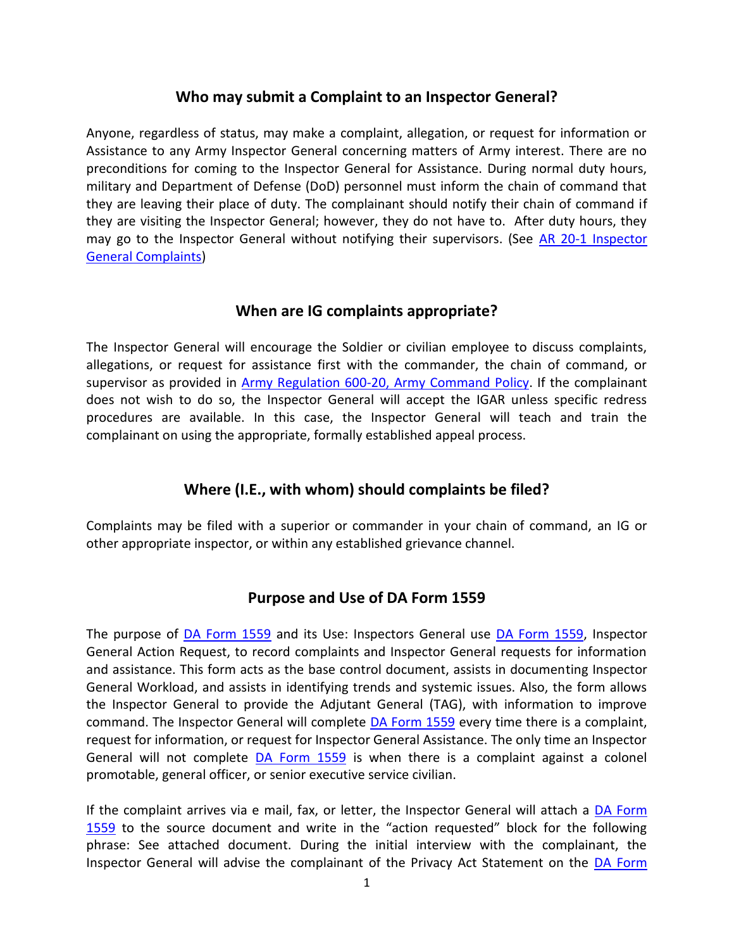#### **Who may submit a Complaint to an Inspector General?**

Anyone, regardless of status, may make a complaint, allegation, or request for information or Assistance to any Army Inspector General concerning matters of Army interest. There are no preconditions for coming to the Inspector General for Assistance. During normal duty hours, military and Department of Defense (DoD) personnel must inform the chain of command that they are leaving their place of duty. The complainant should notify their chain of command if they are visiting the Inspector General; however, they do not have to. After duty hours, they may go to the Inspector General without notifying their supervisors. (See AR 20-1 [Inspector](http://www.apd.army.mil/pdffiles/r20_1.pdf)  [General Complaints\)](http://www.apd.army.mil/pdffiles/r20_1.pdf)

#### **When are IG complaints appropriate?**

The Inspector General will encourage the Soldier or civilian employee to discuss complaints, allegations, or request for assistance first with the commander, the chain of command, or supervisor as provided in [Army Regulation 600-20, Army Command Policy.](http://www.apd.army.mil/pdffiles/r600_20.pdf) If the complainant does not wish to do so, the Inspector General will accept the IGAR unless specific redress procedures are available. In this case, the Inspector General will teach and train the complainant on using the appropriate, formally established appeal process.

# **Where (I.E., with whom) should complaints be filed?**

Complaints may be filed with a superior or commander in your chain of command, an IG or other appropriate inspector, or within any established grievance channel.

# **Purpose and Use of DA Form 1559**

The purpose of [DA Form 1559](http://www.apd.army.mil/pub/eforms/pdf/a1559.pdf) and its Use: Inspectors General use [DA Form 1559,](http://www.apd.army.mil/pub/eforms/pdf/a1559.pdf) Inspector General Action Request, to record complaints and Inspector General requests for information and assistance. This form acts as the base control document, assists in documenting Inspector General Workload, and assists in identifying trends and systemic issues. Also, the form allows the Inspector General to provide the Adjutant General (TAG), with information to improve command. The Inspector General will complete [DA Form 1559](http://www.apd.army.mil/pub/eforms/pdf/a1559.pdf) every time there is a complaint, request for information, or request for Inspector General Assistance. The only time an Inspector General will not complete  $DA$  Form 1559 is when there is a complaint against a colonel promotable, general officer, or senior executive service civilian.

If the complaint arrives via e mail, fax, or letter, the Inspector General will attach a DA Form [1559](http://www.apd.army.mil/pub/eforms/pdf/a1559.pdf) to the source document and write in the "action requested" block for the following phrase: See attached document. During the initial interview with the complainant, the Inspector General will advise the complainant of the Privacy Act Statement on the [DA Form](http://www.apd.army.mil/pub/eforms/pdf/a1559.pdf)